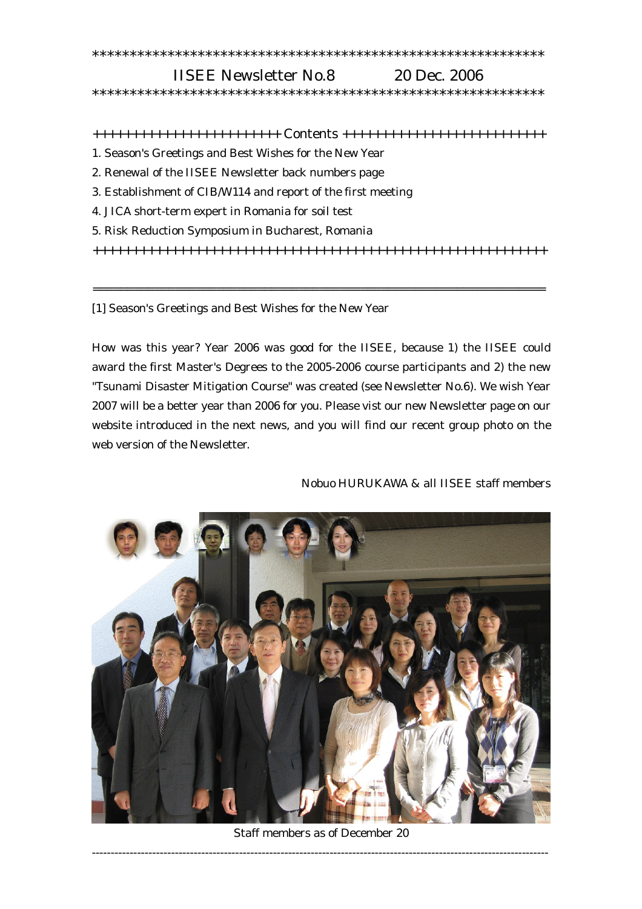## \*\*\*\*\*\*\*\*\*\*\*\*\*\*\*\*\*\*\*\*\*\*\*\*\*\*\*\*\*\*\*\*\*\*\*\*\*\*\*\*\*\*\*\*\*\*\*\*\*\*\*\*\*\*\*\*\*\*\*\*

## IISEE Newsletter No.8 20 Dec. 2006 \*\*\*\*\*\*\*\*\*\*\*\*\*\*\*\*\*\*\*\*\*\*\*\*\*\*\*\*\*\*\*\*\*\*\*\*\*\*\*\*\*\*\*\*\*\*\*\*\*\*\*\*\*\*\*\*\*\*\*\*

++++++++++++++++++++++++ Contents ++++++++++++++++++++++++++

- 1. Season's Greetings and Best Wishes for the New Year
- 2. Renewal of the IISEE Newsletter back numbers page
- 3. Establishment of CIB/W114 and report of the first meeting
- 4. JICA short-term expert in Romania for soil test
- 5. Risk Reduction Symposium in Bucharest, Romania

++++++++++++++++++++++++++++++++++++++++++++++++++++++++++

==================================================================

[1] Season's Greetings and Best Wishes for the New Year

How was this year? Year 2006 was good for the IISEE, because 1) the IISEE could award the first Master's Degrees to the 2005-2006 course participants and 2) the new "Tsunami Disaster Mitigation Course" was created (see Newsletter No.6). We wish Year 2007 will be a better year than 2006 for you. Please vist our new Newsletter page on our website introduced in the next news, and you will find our recent group photo on the web version of the Newsletter.

Nobuo HURUKAWA & all IISEE staff members



Staff members as of December 20 -------------------------------------------------------------------------------------------------------------------------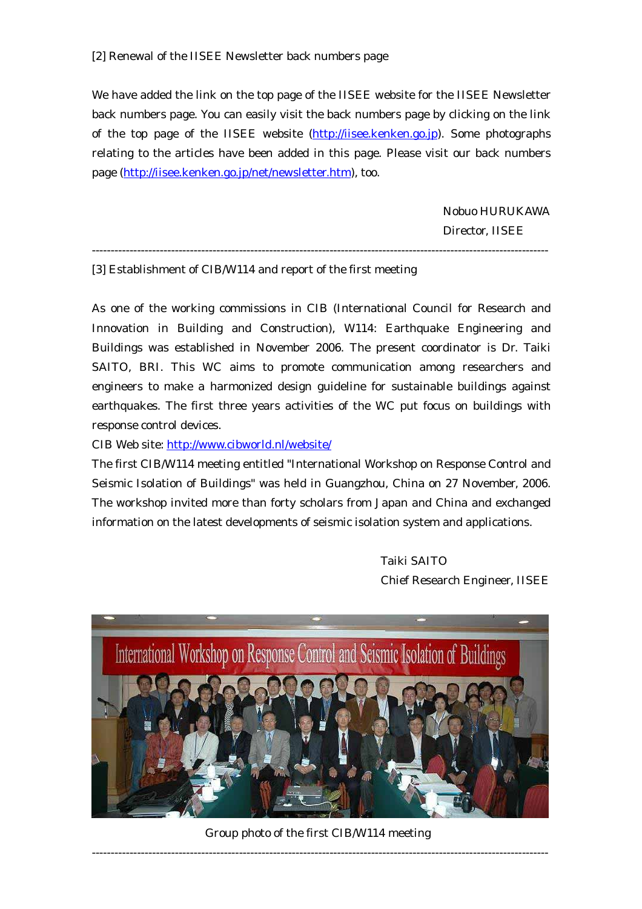We have added the link on the top page of the IISEE website for the IISEE Newsletter back numbers page. You can easily visit the back numbers page by clicking on the link of the top page of the IISEE website (http://iisee.kenken.go.jp). Some photographs relating to the articles have been added in this page. Please visit our back numbers page (http://iisee.kenken.go.jp/net/newsletter.htm), too.

> Nobuo HURUKAWA Director, IISEE

[3] Establishment of CIB/W114 and report of the first meeting

As one of the working commissions in CIB (International Council for Research and Innovation in Building and Construction), W114: Earthquake Engineering and Buildings was established in November 2006. The present coordinator is Dr. Taiki SAITO, BRI. This WC aims to promote communication among researchers and engineers to make a harmonized design guideline for sustainable buildings against earthquakes. The first three years activities of the WC put focus on buildings with response control devices.

-------------------------------------------------------------------------------------------------------------------------

CIB Web site: http://www.cibworld.nl/website/

The first CIB/W114 meeting entitled "International Workshop on Response Control and Seismic Isolation of Buildings" was held in Guangzhou, China on 27 November, 2006. The workshop invited more than forty scholars from Japan and China and exchanged information on the latest developments of seismic isolation system and applications.

> Taiki SAITO Chief Research Engineer, IISEE



Group photo of the first CIB/W114 meeting -------------------------------------------------------------------------------------------------------------------------